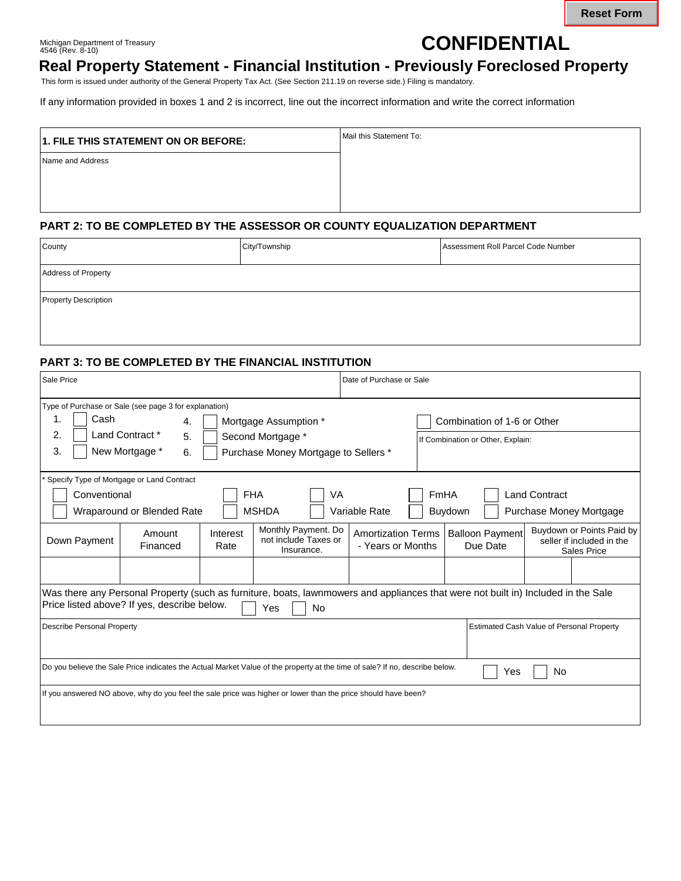Michigan Department of Treasury 4546 (Rev. 8-10)

# **CONFIDENTIAL**

# **Real Property Statement - Financial Institution - Previously Foreclosed Property**

This form is issued under authority of the General Property Tax Act. (See Section 211.19 on reverse side.) Filing is mandatory.

If any information provided in boxes 1 and 2 is incorrect, line out the incorrect information and write the correct information

| 1. FILE THIS STATEMENT ON OR BEFORE: | Mail this Statement To: |  |  |
|--------------------------------------|-------------------------|--|--|
| Name and Address                     |                         |  |  |
|                                      |                         |  |  |

#### **PART 2: TO BE COMPLETED BY THE ASSESSOR OR COUNTY EQUALIZATION DEPARTMENT**

| County                      | City/Township<br>Assessment Roll Parcel Code Number |  |  |  |
|-----------------------------|-----------------------------------------------------|--|--|--|
| <b>Address of Property</b>  |                                                     |  |  |  |
| <b>Property Description</b> |                                                     |  |  |  |
|                             |                                                     |  |  |  |

#### **PART 3: TO BE COMPLETED BY THE FINANCIAL INSTITUTION**

| Sale Price                                                                                                                                                                                           |                                                       |                                      |                                                           | Date of Purchase or Sale                       |                                   |                                    |                                                                              |
|------------------------------------------------------------------------------------------------------------------------------------------------------------------------------------------------------|-------------------------------------------------------|--------------------------------------|-----------------------------------------------------------|------------------------------------------------|-----------------------------------|------------------------------------|------------------------------------------------------------------------------|
|                                                                                                                                                                                                      | Type of Purchase or Sale (see page 3 for explanation) |                                      |                                                           |                                                |                                   |                                    |                                                                              |
| Cash<br>1.<br>Mortgage Assumption *<br>4.                                                                                                                                                            |                                                       |                                      |                                                           | Combination of 1-6 or Other                    |                                   |                                    |                                                                              |
| Land Contract *<br>2.<br>5.<br>Second Mortgage *                                                                                                                                                     |                                                       |                                      |                                                           |                                                | If Combination or Other, Explain: |                                    |                                                                              |
| 3.                                                                                                                                                                                                   | New Mortgage *<br>6.                                  | Purchase Money Mortgage to Sellers * |                                                           |                                                |                                   |                                    |                                                                              |
|                                                                                                                                                                                                      | Specify Type of Mortgage or Land Contract             |                                      |                                                           |                                                |                                   |                                    |                                                                              |
| <b>FHA</b><br>Conventional                                                                                                                                                                           |                                                       |                                      | VA                                                        |                                                | FmHA                              |                                    | <b>Land Contract</b>                                                         |
| <b>MSHDA</b><br>Wraparound or Blended Rate<br>Variable Rate                                                                                                                                          |                                                       |                                      |                                                           |                                                | Buydown                           | Purchase Money Mortgage            |                                                                              |
| Down Payment                                                                                                                                                                                         | Amount<br>Financed                                    | Interest<br>Rate                     | Monthly Payment. Do<br>not include Taxes or<br>Insurance. | <b>Amortization Terms</b><br>- Years or Months |                                   | <b>Balloon Payment</b><br>Due Date | Buydown or Points Paid by<br>seller if included in the<br><b>Sales Price</b> |
|                                                                                                                                                                                                      |                                                       |                                      |                                                           |                                                |                                   |                                    |                                                                              |
| Was there any Personal Property (such as furniture, boats, lawnmowers and appliances that were not built in) Included in the Sale<br>Price listed above? If yes, describe below.<br><b>No</b><br>Yes |                                                       |                                      |                                                           |                                                |                                   |                                    |                                                                              |
| <b>Estimated Cash Value of Personal Property</b><br><b>Describe Personal Property</b>                                                                                                                |                                                       |                                      |                                                           |                                                |                                   |                                    |                                                                              |
| Do you believe the Sale Price indicates the Actual Market Value of the property at the time of sale? If no, describe below.<br>No.<br>Yes                                                            |                                                       |                                      |                                                           |                                                |                                   |                                    |                                                                              |
| If you answered NO above, why do you feel the sale price was higher or lower than the price should have been?                                                                                        |                                                       |                                      |                                                           |                                                |                                   |                                    |                                                                              |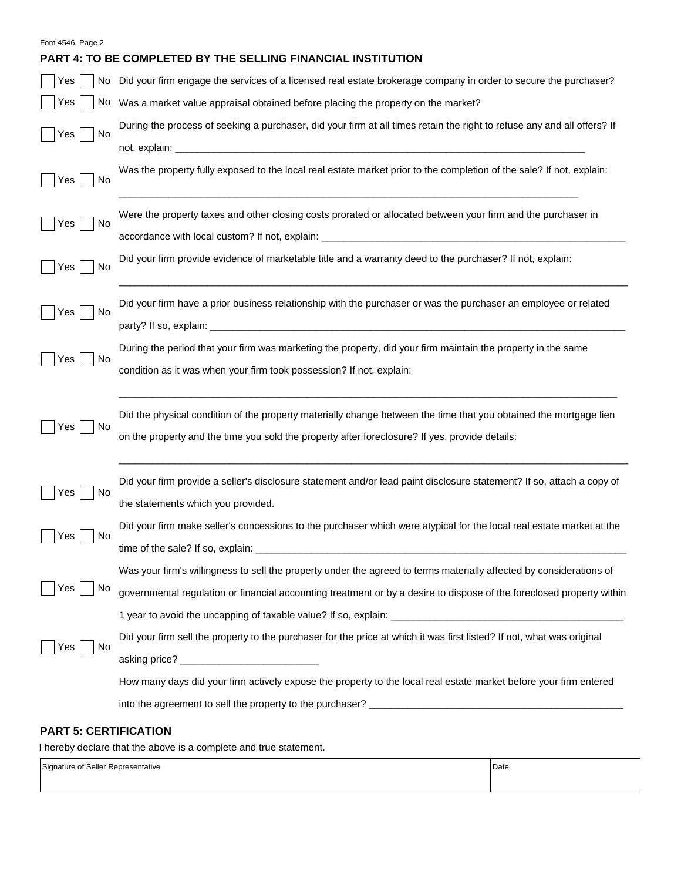#### Fom 4546, Page 2

## **PART 4: TO BE COMPLETED BY THE SELLING FINANCIAL INSTITUTION**

| Yes       | No Did your firm engage the services of a licensed real estate brokerage company in order to secure the purchaser?                                                                                                  |
|-----------|---------------------------------------------------------------------------------------------------------------------------------------------------------------------------------------------------------------------|
| Yes       | No Was a market value appraisal obtained before placing the property on the market?                                                                                                                                 |
| No<br>Yes | During the process of seeking a purchaser, did your firm at all times retain the right to refuse any and all offers? If                                                                                             |
|           |                                                                                                                                                                                                                     |
| No<br>Yes | Was the property fully exposed to the local real estate market prior to the completion of the sale? If not, explain:                                                                                                |
| Yes<br>No | Were the property taxes and other closing costs prorated or allocated between your firm and the purchaser in                                                                                                        |
| Yes<br>No | Did your firm provide evidence of marketable title and a warranty deed to the purchaser? If not, explain:                                                                                                           |
| No<br>Yes | Did your firm have a prior business relationship with the purchaser or was the purchaser an employee or related                                                                                                     |
| Yes<br>No | During the period that your firm was marketing the property, did your firm maintain the property in the same<br>condition as it was when your firm took possession? If not, explain:                                |
| Yes<br>No | Did the physical condition of the property materially change between the time that you obtained the mortgage lien<br>on the property and the time you sold the property after foreclosure? If yes, provide details: |
| Yes<br>No | Did your firm provide a seller's disclosure statement and/or lead paint disclosure statement? If so, attach a copy of<br>the statements which you provided.                                                         |
| Yes<br>No | Did your firm make seller's concessions to the purchaser which were atypical for the local real estate market at the                                                                                                |
| Yes<br>N0 | Was your firm's willingness to sell the property under the agreed to terms materially affected by considerations of                                                                                                 |
|           | governmental regulation or financial accounting treatment or by a desire to dispose of the foreclosed property within                                                                                               |
|           |                                                                                                                                                                                                                     |
| Yes<br>No | Did your firm sell the property to the purchaser for the price at which it was first listed? If not, what was original                                                                                              |
|           |                                                                                                                                                                                                                     |
|           | How many days did your firm actively expose the property to the local real estate market before your firm entered                                                                                                   |
|           |                                                                                                                                                                                                                     |

## **PART 5: CERTIFICATION**

I hereby declare that the above is a complete and true statement.

Signature of Seller Representative **Date**